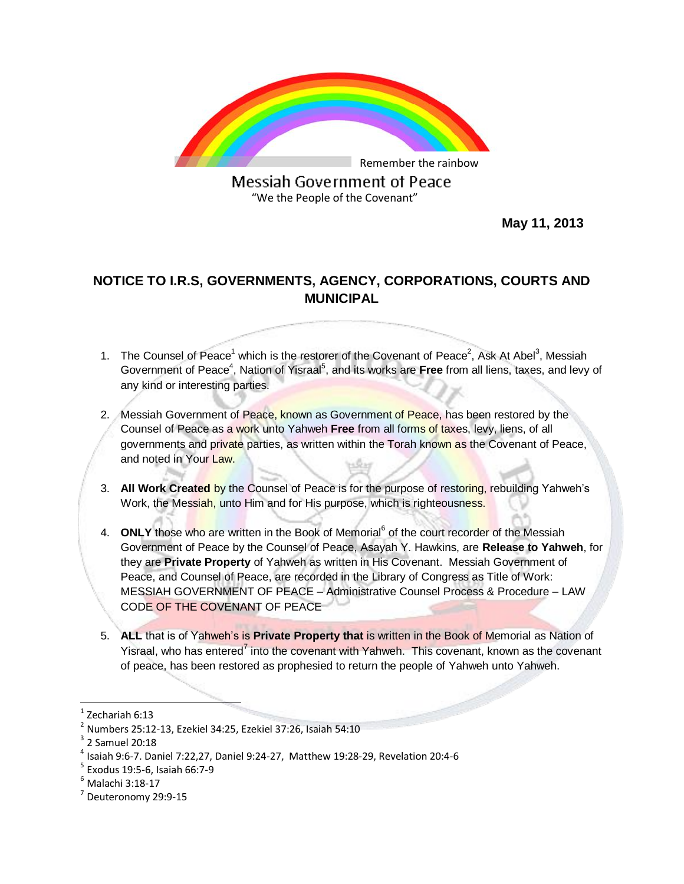

Messiah Government of Peace "We the People of the Covenant"

 **May 11, 2013**

## **NOTICE TO I.R.S, GOVERNMENTS, AGENCY, CORPORATIONS, COURTS AND MUNICIPAL**

- 1. The Counsel of Peace<sup>1</sup> which is the restorer of the Covenant of Peace<sup>2</sup>, Ask At Abel<sup>3</sup>, Messiah Government of Peace<sup>4</sup>, Nation of Yisraal<sup>5</sup>, and its works are Free from all liens, taxes, and levy of any kind or interesting parties.
- 2. Messiah Government of Peace, known as Government of Peace, has been restored by the Counsel of Peace as a work unto Yahweh **Free** from all forms of taxes, levy, liens, of all governments and private parties, as written within the Torah known as the Covenant of Peace, and noted in Your Law.
- 3. **All Work Created** by the Counsel of Peace is for the purpose of restoring, rebuilding Yahweh's Work, the Messiah, unto Him and for His purpose, which is righteousness.
- 4. **ONLY** those who are written in the Book of Memorial<sup>6</sup> of the court recorder of the Messiah Government of Peace by the Counsel of Peace, Asayah Y. Hawkins, are **Release to Yahweh**, for they are **Private Property** of Yahweh as written in His Covenant. Messiah Government of Peace, and Counsel of Peace, are recorded in the Library of Congress as Title of Work: MESSIAH GOVERNMENT OF PEACE – Administrative Counsel Process & Procedure – LAW CODE OF THE COVENANT OF PEACE
- 5. **ALL** that is of Yahweh's is **Private Property that** is written in the Book of Memorial as Nation of Yisraal, who has entered<sup>7</sup> into the covenant with Yahweh. This covenant, known as the covenant of peace, has been restored as prophesied to return the people of Yahweh unto Yahweh.

 $\overline{a}$ 

<sup>1</sup> Zechariah 6:13

 $2$  Numbers 25:12-13, Ezekiel 34:25, Ezekiel 37:26, Isaiah 54:10

 $3$  2 Samuel 20:18

<sup>4</sup> Isaiah 9:6-7. Daniel 7:22,27, Daniel 9:24-27, Matthew 19:28-29, Revelation 20:4-6

<sup>5</sup> Exodus 19:5-6, Isaiah 66:7-9

<sup>6</sup> Malachi 3:18-17

<sup>&</sup>lt;sup>7</sup> Deuteronomy 29:9-15